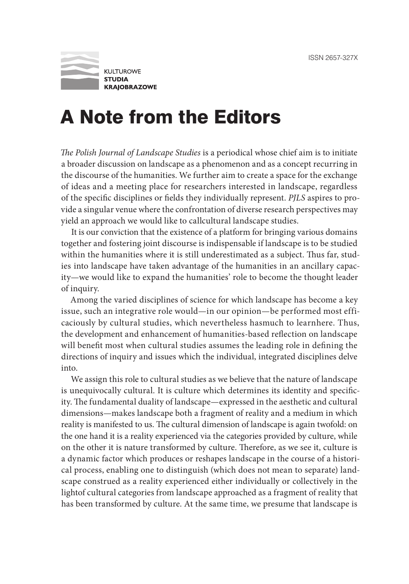

## A Note from the Editors

*The Polish Journal of Landscape Studies* is a periodical whose chief aim is to initiate a broader discussion on landscape as a phenomenon and as a concept recurring in the discourse of the humanities. We further aim to create a space for the exchange of ideas and a meeting place for researchers interested in landscape, regardless of the specific disciplines or fields they individually represent. *PJLS* aspires to provide a singular venue where the confrontation of diverse research perspectives may yield an approach we would like to callcultural landscape studies.

It is our conviction that the existence of a platform for bringing various domains together and fostering joint discourse is indispensable if landscape is to be studied within the humanities where it is still underestimated as a subject. Thus far, studies into landscape have taken advantage of the humanities in an ancillary capacity—we would like to expand the humanities' role to become the thought leader of inquiry.

Among the varied disciplines of science for which landscape has become a key issue, such an integrative role would—in our opinion—be performed most efficaciously by cultural studies, which nevertheless hasmuch to learnhere. Thus, the development and enhancement of humanities-based reflection on landscape will benefit most when cultural studies assumes the leading role in defining the directions of inquiry and issues which the individual, integrated disciplines delve into.

We assign this role to cultural studies as we believe that the nature of landscape is unequivocally cultural. It is culture which determines its identity and specificity. The fundamental duality of landscape—expressed in the aesthetic and cultural dimensions—makes landscape both a fragment of reality and a medium in which reality is manifested to us. The cultural dimension of landscape is again twofold: on the one hand it is a reality experienced via the categories provided by culture, while on the other it is nature transformed by culture. Therefore, as we see it, culture is a dynamic factor which produces or reshapes landscape in the course of a historical process, enabling one to distinguish (which does not mean to separate) landscape construed as a reality experienced either individually or collectively in the lightof cultural categories from landscape approached as a fragment of reality that has been transformed by culture. At the same time, we presume that landscape is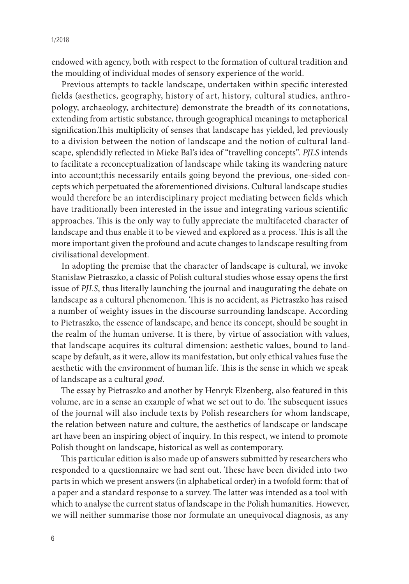endowed with agency, both with respect to the formation of cultural tradition and the moulding of individual modes of sensory experience of the world.

Previous attempts to tackle landscape, undertaken within specific interested fields (aesthetics, geography, history of art, history, cultural studies, anthropology, archaeology, architecture) demonstrate the breadth of its connotations, extending from artistic substance, through geographical meanings to metaphorical signification.This multiplicity of senses that landscape has yielded, led previously to a division between the notion of landscape and the notion of cultural landscape, splendidly reflected in Mieke Bal's idea of "travelling concepts". *PJLS* intends to facilitate a reconceptualization of landscape while taking its wandering nature into account;this necessarily entails going beyond the previous, one-sided concepts which perpetuated the aforementioned divisions. Cultural landscape studies would therefore be an interdisciplinary project mediating between fields which have traditionally been interested in the issue and integrating various scientific approaches. This is the only way to fully appreciate the multifaceted character of landscape and thus enable it to be viewed and explored as a process. This is all the more important given the profound and acute changes to landscape resulting from civilisational development.

In adopting the premise that the character of landscape is cultural, we invoke Stanisław Pietraszko, a classic of Polish cultural studies whose essay opens the first issue of *PJLS*, thus literally launching the journal and inaugurating the debate on landscape as a cultural phenomenon. This is no accident, as Pietraszko has raised a number of weighty issues in the discourse surrounding landscape. According to Pietraszko, the essence of landscape, and hence its concept, should be sought in the realm of the human universe. It is there, by virtue of association with values, that landscape acquires its cultural dimension: aesthetic values, bound to landscape by default, as it were, allow its manifestation, but only ethical values fuse the aesthetic with the environment of human life. This is the sense in which we speak of landscape as a cultural *good*.

The essay by Pietraszko and another by Henryk Elzenberg, also featured in this volume, are in a sense an example of what we set out to do. The subsequent issues of the journal will also include texts by Polish researchers for whom landscape, the relation between nature and culture, the aesthetics of landscape or landscape art have been an inspiring object of inquiry. In this respect, we intend to promote Polish thought on landscape, historical as well as contemporary.

This particular edition is also made up of answers submitted by researchers who responded to a questionnaire we had sent out. These have been divided into two parts in which we present answers (in alphabetical order) in a twofold form: that of a paper and a standard response to a survey. The latter was intended as a tool with which to analyse the current status of landscape in the Polish humanities. However, we will neither summarise those nor formulate an unequivocal diagnosis, as any